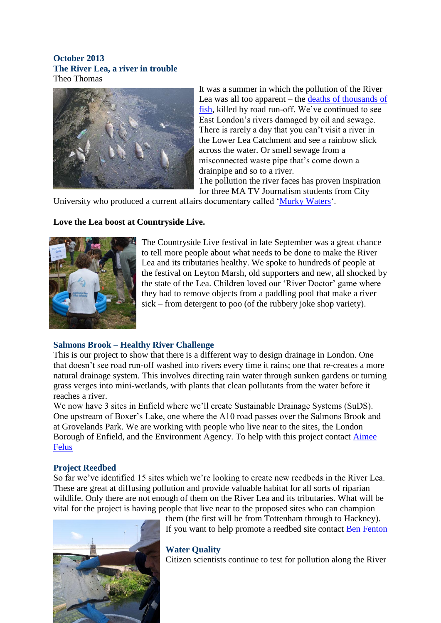#### **October 2013 The River Lea, a river in trouble** Theo Thomas



It was a summer in which the pollution of the River Lea was all too apparent – the [deaths of thousands of](http://www.thames21.org.uk/2013/07/river-of-death-why-fish-died-in-the-river-lea-and-what-can-be-done/)  [fish,](http://www.thames21.org.uk/2013/07/river-of-death-why-fish-died-in-the-river-lea-and-what-can-be-done/) killed by road run-off. We've continued to see East London's rivers damaged by oil and sewage. There is rarely a day that you can't visit a river in the Lower Lea Catchment and see a rainbow slick across the water. Or smell sewage from a misconnected waste pipe that's come down a drainpipe and so to a river. The pollution the river faces has proven inspiration

for three MA TV Journalism students from City

University who produced a current affairs documentary called ['Murky Waters'](http://www.youtube.com/watch?v=VZeA7Ai_UVI).

# **Love the Lea boost at Countryside Live.**



The Countryside Live festival in late September was a great chance to tell more people about what needs to be done to make the River Lea and its tributaries healthy. We spoke to hundreds of people at the festival on Leyton Marsh, old supporters and new, all shocked by the state of the Lea. Children loved our 'River Doctor' game where they had to remove objects from a paddling pool that make a river sick – from detergent to poo (of the rubbery joke shop variety).

## **Salmons Brook – Healthy River Challenge**

This is our project to show that there is a different way to design drainage in London. One that doesn't see road run-off washed into rivers every time it rains; one that re-creates a more natural drainage system. This involves directing rain water through sunken gardens or turning grass verges into mini-wetlands, with plants that clean pollutants from the water before it reaches a river.

We now have 3 sites in Enfield where we'll create Sustainable Drainage Systems (SuDS). One upstream of Boxer's Lake, one where the A10 road passes over the Salmons Brook and at Grovelands Park. We are working with people who live near to the sites, the London Borough of Enfield, and the Environment Agency. To help with this project contact [Aimee](mailto:%20aimee.felus@thames21.org.uk)  **[Felus](mailto:%20aimee.felus@thames21.org.uk)** 

#### **Project Reedbed**

So far we've identified 15 sites which we're looking to create new reedbeds in the River Lea. These are great at diffusing pollution and provide valuable habitat for all sorts of riparian wildlife. Only there are not enough of them on the River Lea and its tributaries. What will be vital for the project is having people that live near to the proposed sites who can champion



them (the first will be from Tottenham through to Hackney). If you want to help promote a reedbed site contact [Ben Fenton](mailto:%20ben.fenton@thames21.org.uk)

#### **Water Quality**

Citizen scientists continue to test for pollution along the River